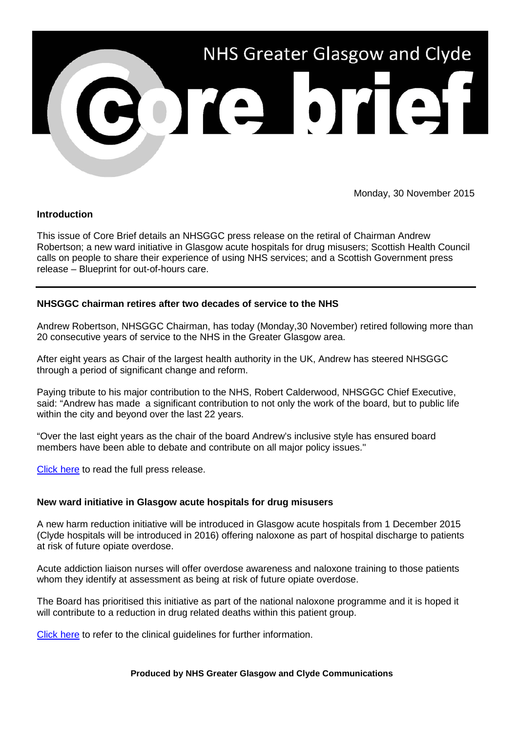

Monday, 30 November 2015

## **Introduction**

This issue of Core Brief details an NHSGGC press release on the retiral of Chairman Andrew Robertson; a new ward initiative in Glasgow acute hospitals for drug misusers; Scottish Health Council calls on people to share their experience of using NHS services; and a Scottish Government press release – Blueprint for out-of-hours care.

## **NHSGGC chairman retires after two decades of service to the NHS**

Andrew Robertson, NHSGGC Chairman, has today (Monday,30 November) retired following more than 20 consecutive years of service to the NHS in the Greater Glasgow area.

After eight years as Chair of the largest health authority in the UK, Andrew has steered NHSGGC through a period of significant change and reform.

Paying tribute to his major contribution to the NHS, Robert Calderwood, NHSGGC Chief Executive, said: "Andrew has made a significant contribution to not only the work of the board, but to public life within the city and beyond over the last 22 years.

"Over the last eight years as the chair of the board Andrew's inclusive style has ensured board members have been able to debate and contribute on all major policy issues."

[Click here](http://www.nhsggc.org.uk/about-us/media-centre/news/2015/11/chairman-retires-after-two-decades-of-service-to-the-nhs/) to read the full press release.

### **New ward initiative in Glasgow acute hospitals for drug misusers**

A new harm reduction initiative will be introduced in Glasgow acute hospitals from 1 December 2015 (Clyde hospitals will be introduced in 2016) offering naloxone as part of hospital discharge to patients at risk of future opiate overdose.

Acute addiction liaison nurses will offer overdose awareness and naloxone training to those patients whom they identify at assessment as being at risk of future opiate overdose.

The Board has prioritised this initiative as part of the national naloxone programme and it is hoped it will contribute to a reduction in drug related deaths within this patient group.

[Click here](http://www.staffnet.ggc.scot.nhs.uk/Info%20Centre/PoliciesProcedures/GGCClinicalGuidelines/GGC%20Clinical%20Guidelines%20Electronic%20Resource%20Direct/Take%20Home%20Naloxone%20in%20an%20acute%20setting%20to%20individuals%20at%20risk%20of%20future%20opiate) to refer to the clinical guidelines for further information.

#### **Produced by NHS Greater Glasgow and Clyde Communications**